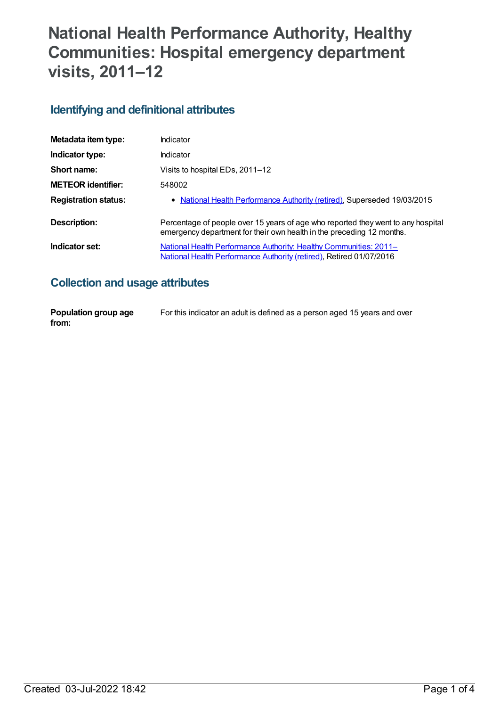# **National Health Performance Authority, Healthy Communities: Hospital emergency department visits, 2011–12**

### **Identifying and definitional attributes**

| Metadata item type:         | Indicator                                                                                                                                                 |
|-----------------------------|-----------------------------------------------------------------------------------------------------------------------------------------------------------|
| Indicator type:             | <b>Indicator</b>                                                                                                                                          |
| Short name:                 | Visits to hospital EDs, 2011-12                                                                                                                           |
| <b>METEOR identifier:</b>   | 548002                                                                                                                                                    |
| <b>Registration status:</b> | • National Health Performance Authority (retired), Superseded 19/03/2015                                                                                  |
| Description:                | Percentage of people over 15 years of age who reported they went to any hospital<br>emergency department for their own health in the preceding 12 months. |
| Indicator set:              | <u>National Health Performance Authority: Healthy Communities: 2011–</u><br>National Health Performance Authority (retired), Retired 01/07/2016           |

### **Collection and usage attributes**

| Population group age | For this indicator an adult is defined as a person aged 15 years and over |
|----------------------|---------------------------------------------------------------------------|
| from:                |                                                                           |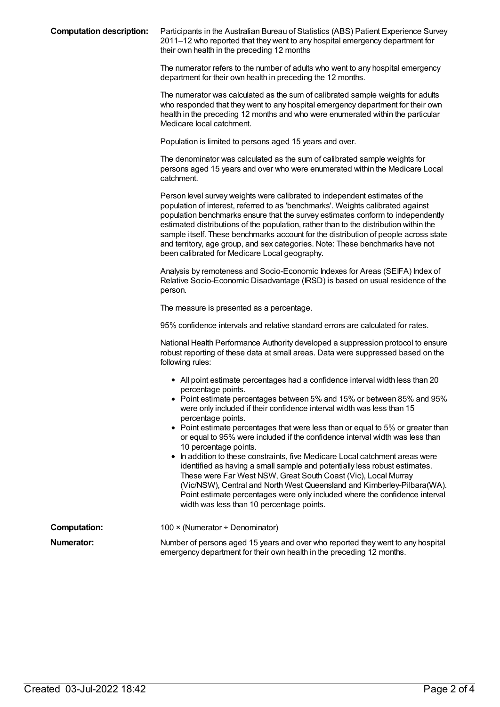**Computation description:** Participants in the Australian Bureau of Statistics (ABS) Patient Experience Survey 2011–12 who reported that they went to any hospital emergency department for their own health in the preceding 12 months

> The numerator refers to the number of adults who went to any hospital emergency department for their own health in preceding the 12 months.

> The numerator was calculated as the sum of calibrated sample weights for adults who responded that they went to any hospital emergency department for their own health in the preceding 12 months and who were enumerated within the particular Medicare local catchment.

Population is limited to persons aged 15 years and over.

The denominator was calculated as the sum of calibrated sample weights for persons aged 15 years and over who were enumerated within the Medicare Local catchment.

Person level survey weights were calibrated to independent estimates of the population of interest, referred to as 'benchmarks'. Weights calibrated against population benchmarks ensure that the survey estimates conform to independently estimated distributions of the population, rather than to the distribution within the sample itself. These benchmarks account for the distribution of people across state and territory, age group, and sex categories. Note: These benchmarks have not been calibrated for Medicare Local geography.

Analysis by remoteness and Socio-Economic Indexes for Areas (SEIFA) Index of Relative Socio-Economic Disadvantage (IRSD) is based on usual residence of the person.

The measure is presented as a percentage.

95% confidence intervals and relative standard errors are calculated for rates.

National Health Performance Authority developed a suppression protocol to ensure robust reporting of these data at small areas. Data were suppressed based on the following rules:

- All point estimate percentages had a confidence interval width less than 20 percentage points.
- Point estimate percentages between 5% and 15% or between 85% and 95% were only included if their confidence interval width was less than 15 percentage points.
- Point estimate percentages that were less than or equal to 5% or greater than or equal to 95% were included if the confidence interval width was less than 10 percentage points.
- In addition to these constraints, five Medicare Local catchment areas were identified as having a small sample and potentially less robust estimates. These were Far West NSW, Great South Coast (Vic), Local Murray (Vic/NSW), Central and North West Queensland and Kimberley-Pilbara(WA). Point estimate percentages were only included where the confidence interval width was less than 10 percentage points.

| <b>Computation:</b> | 100 $\times$ (Numerator ÷ Denominator)                                                                                                                   |
|---------------------|----------------------------------------------------------------------------------------------------------------------------------------------------------|
| Numerator:          | Number of persons aged 15 years and over who reported they went to any hospital<br>emergency department for their own health in the preceding 12 months. |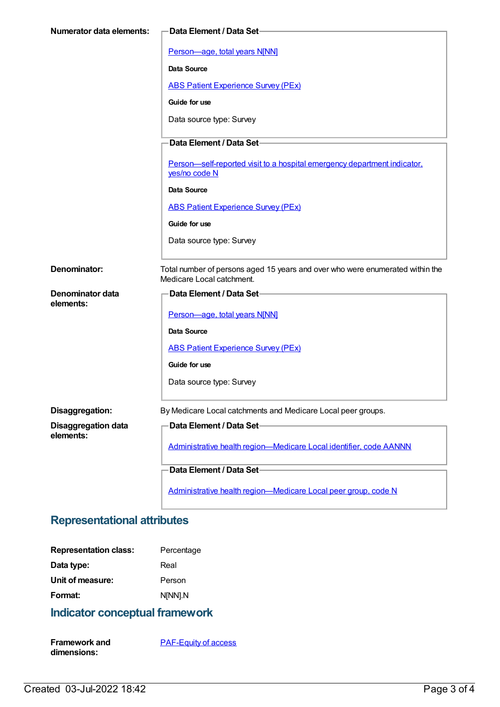| Numerator data elements:   | -Data Element / Data Set-                                                                                  |
|----------------------------|------------------------------------------------------------------------------------------------------------|
|                            | Person-age, total years N[NN]                                                                              |
|                            | <b>Data Source</b>                                                                                         |
|                            | <b>ABS Patient Experience Survey (PEx)</b>                                                                 |
|                            | Guide for use                                                                                              |
|                            | Data source type: Survey                                                                                   |
|                            | Data Element / Data Set-                                                                                   |
|                            | Person-self-reported visit to a hospital emergency department indicator,<br>yes/no code N                  |
|                            | Data Source                                                                                                |
|                            | <b>ABS Patient Experience Survey (PEx)</b>                                                                 |
|                            | Guide for use                                                                                              |
|                            | Data source type: Survey                                                                                   |
| Denominator:               | Total number of persons aged 15 years and over who were enumerated within the<br>Medicare Local catchment. |
| Denominator data           | Data Element / Data Set-                                                                                   |
| elements:                  | Person-age, total years N[NN]                                                                              |
|                            | Data Source                                                                                                |
|                            | <b>ABS Patient Experience Survey (PEx)</b>                                                                 |
|                            | Guide for use                                                                                              |
|                            | Data source type: Survey                                                                                   |
| Disaggregation:            | By Medicare Local catchments and Medicare Local peer groups.                                               |
| <b>Disaggregation data</b> | Data Element / Data Set-                                                                                   |
| elements:                  | Administrative health region-Medicare Local identifier, code AANNN                                         |
|                            | Data Element / Data Set-                                                                                   |
|                            | Administrative health region-Medicare Local peer group, code N                                             |

# **Representational attributes**

| <b>Representation class:</b> | Percentage |
|------------------------------|------------|
| Data type:                   | Real       |
| Unit of measure:             | Person     |
| Format:                      | N[NN].N    |
|                              |            |

# **Indicator conceptual framework**

| <b>Framework and</b> | <b>PAF-Equity of access</b> |
|----------------------|-----------------------------|
| dimensions:          |                             |